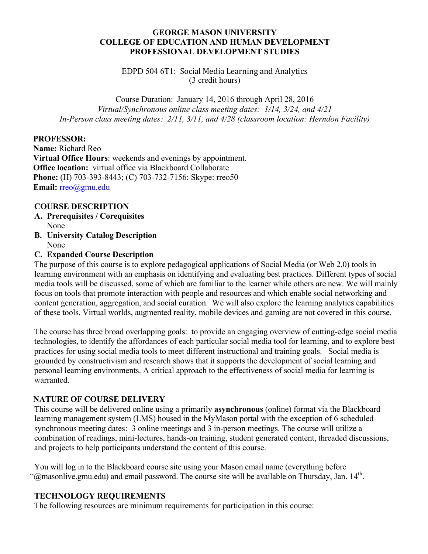#### **GEORGE MASON UNIVERSITY COLLEGE OF EDUCATION AND HUMAN DEVELOPMENT PROFESSIONAL DEVELOPMENT STUDIES**

EDPD 504 6T1: Social Media Learning and Analytics (3 credit hours)

Course Duration: January 14, 2016 through April 28, 2016 *Virtual/Synchronous online class meeting dates: 1/14, 3/24, and 4/21 In-Person class meeting dates: 2/11, 3/11, and 4/28 (classroom location: Herndon Facility)* 

#### **PROFESSOR:**

**Name:** Richard Reo **Virtual Office Hours**: weekends and evenings by appointment. **Office location:** virtual office via Blackboard Collaborate **Phone:** (H) 703-393-8443; (C) 703-732-7156; Skype: rreo50 **Email:** rreo@gmu.edu

#### **COURSE DESCRIPTION**

- **A. Prerequisites / Corequisites** None
- **B. University Catalog Description** None

#### **C. Expanded Course Description**

The purpose of this course is to explore pedagogical applications of Social Media (or Web 2.0) tools in learning environment with an emphasis on identifying and evaluating best practices. Different types of social media tools will be discussed, some of which are familiar to the learner while others are new. We will mainly focus on tools that promote interaction with people and resources and which enable social networking and content generation, aggregation, and social curation. We will also explore the learning analytics capabilities of these tools. Virtual worlds, augmented reality, mobile devices and gaming are not covered in this course.

The course has three broad overlapping goals: to provide an engaging overview of cutting-edge social media technologies, to identify the affordances of each particular social media tool for learning, and to explore best practices for using social media tools to meet different instructional and training goals. Social media is grounded by constructivism and research shows that it supports the development of social learning and personal learning environments. A critical approach to the effectiveness of social media for learning is warranted.

#### **NATURE OF COURSE DELIVERY**

This course will be delivered online using a primarily **asynchronous** (online) format via the Blackboard learning management system (LMS) housed in the MyMason portal with the exception of 6 scheduled synchronous meeting dates: 3 online meetings and 3 in-person meetings. The course will utilize a combination of readings, mini-lectures, hands-on training, student generated content, threaded discussions, and projects to help participants understand the content of this course.

You will log in to the Blackboard course site using your Mason email name (everything before "@masonlive.gmu.edu) and email password. The course site will be available on Thursday, Jan. 14<sup>th</sup>.

#### **TECHNOLOGY REQUIREMENTS**

The following resources are minimum requirements for participation in this course: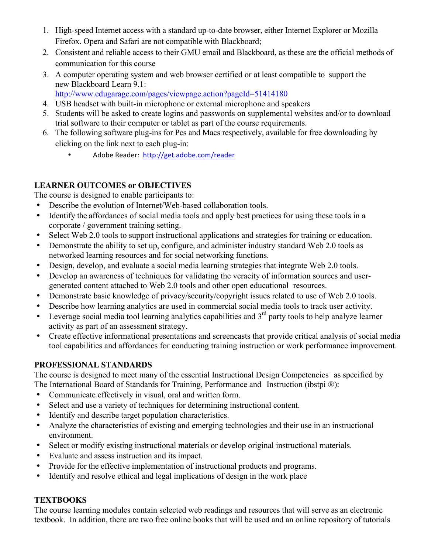- 1. High-speed Internet access with a standard up-to-date browser, either Internet Explorer or Mozilla Firefox. Opera and Safari are not compatible with Blackboard;
- 2. Consistent and reliable access to their GMU email and Blackboard, as these are the official methods of communication for this course
- 3. A computer operating system and web browser certified or at least compatible to support the new Blackboard Learn 9.1:
	- http://www.edugarage.com/pages/viewpage.action?pageId=51414180
- 4. USB headset with built-in microphone or external microphone and speakers
- 5. Students will be asked to create logins and passwords on supplemental websites and/or to download trial software to their computer or tablet as part of the course requirements.
- 6. The following software plug-ins for Pcs and Macs respectively, available for free downloading by clicking on the link next to each plug-in:
	- Adobe Reader: http://get.adobe.com/reader

# **LEARNER OUTCOMES or OBJECTIVES**

The course is designed to enable participants to:

- Describe the evolution of Internet/Web-based collaboration tools.
- Identify the affordances of social media tools and apply best practices for using these tools in a corporate / government training setting.
- Select Web 2.0 tools to support instructional applications and strategies for training or education.
- Demonstrate the ability to set up, configure, and administer industry standard Web 2.0 tools as networked learning resources and for social networking functions.
- Design, develop, and evaluate a social media learning strategies that integrate Web 2.0 tools.
- Develop an awareness of techniques for validating the veracity of information sources and usergenerated content attached to Web 2.0 tools and other open educational resources.
- Demonstrate basic knowledge of privacy/security/copyright issues related to use of Web 2.0 tools.
- Describe how learning analytics are used in commercial social media tools to track user activity.
- Leverage social media tool learning analytics capabilities and  $3<sup>rd</sup>$  party tools to help analyze learner activity as part of an assessment strategy.
- Create effective informational presentations and screencasts that provide critical analysis of social media tool capabilities and affordances for conducting training instruction or work performance improvement.

# **PROFESSIONAL STANDARDS**

The course is designed to meet many of the essential Instructional Design Competencies as specified by The International Board of Standards for Training, Performance and Instruction (ibstpi ®):

- Communicate effectively in visual, oral and written form.
- Select and use a variety of techniques for determining instructional content.
- Identify and describe target population characteristics.
- Analyze the characteristics of existing and emerging technologies and their use in an instructional environment.
- Select or modify existing instructional materials or develop original instructional materials.
- Evaluate and assess instruction and its impact.
- Provide for the effective implementation of instructional products and programs.
- Identify and resolve ethical and legal implications of design in the work place

# **TEXTBOOKS**

The course learning modules contain selected web readings and resources that will serve as an electronic textbook. In addition, there are two free online books that will be used and an online repository of tutorials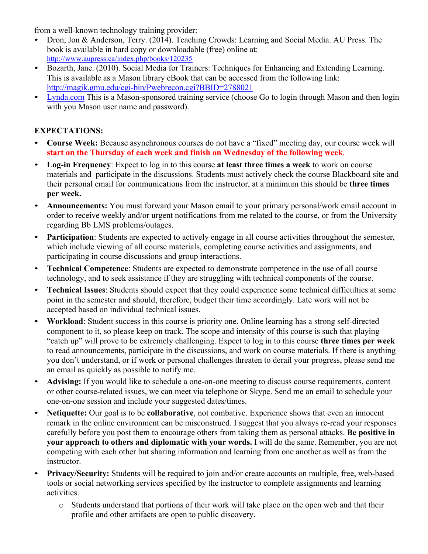from a well-known technology training provider:

- Dron, Jon & Anderson, Terry. (2014). Teaching Crowds: Learning and Social Media. AU Press. The book is available in hard copy or downloadable (free) online at: http://www.aupress.ca/index.php/books/120235
- Bozarth, Jane. (2010). Social Media for Trainers: Techniques for Enhancing and Extending Learning. This is available as a Mason library eBook that can be accessed from the following link: http://magik.gmu.edu/cgi-bin/Pwebrecon.cgi?BBID=2788021
- Lynda.com This is a Mason-sponsored training service (choose Go to login through Mason and then login with you Mason user name and password).

# **EXPECTATIONS:**

- **Course Week:** Because asynchronous courses do not have a "fixed" meeting day, our course week will **start on the Thursday of each week and finish on Wednesday of the following week**.
- **Log-in Frequency**: Expect to log in to this course **at least three times a week** to work on course materials and participate in the discussions. Students must actively check the course Blackboard site and their personal email for communications from the instructor, at a minimum this should be **three times per week.**
- **Announcements:** You must forward your Mason email to your primary personal/work email account in order to receive weekly and/or urgent notifications from me related to the course, or from the University regarding Bb LMS problems/outages.
- **Participation**: Students are expected to actively engage in all course activities throughout the semester, which include viewing of all course materials, completing course activities and assignments, and participating in course discussions and group interactions.
- **Technical Competence**: Students are expected to demonstrate competence in the use of all course technology, and to seek assistance if they are struggling with technical components of the course.
- **Technical Issues**: Students should expect that they could experience some technical difficulties at some point in the semester and should, therefore, budget their time accordingly. Late work will not be accepted based on individual technical issues.
- **Workload**: Student success in this course is priority one. Online learning has a strong self-directed component to it, so please keep on track. The scope and intensity of this course is such that playing "catch up" will prove to be extremely challenging. Expect to log in to this course **three times per week** to read announcements, participate in the discussions, and work on course materials. If there is anything you don't understand, or if work or personal challenges threaten to derail your progress, please send me an email as quickly as possible to notify me.
- **Advising:** If you would like to schedule a one-on-one meeting to discuss course requirements, content or other course-related issues, we can meet via telephone or Skype. Send me an email to schedule your one-on-one session and include your suggested dates/times.
- **Netiquette:** Our goal is to be **collaborative**, not combative. Experience shows that even an innocent remark in the online environment can be misconstrued. I suggest that you always re-read your responses carefully before you post them to encourage others from taking them as personal attacks. **Be positive in your approach to others and diplomatic with your words.** I will do the same. Remember, you are not competing with each other but sharing information and learning from one another as well as from the instructor.
- **Privacy/Security:** Students will be required to join and/or create accounts on multiple, free, web-based tools or social networking services specified by the instructor to complete assignments and learning activities.
	- o Students understand that portions of their work will take place on the open web and that their profile and other artifacts are open to public discovery.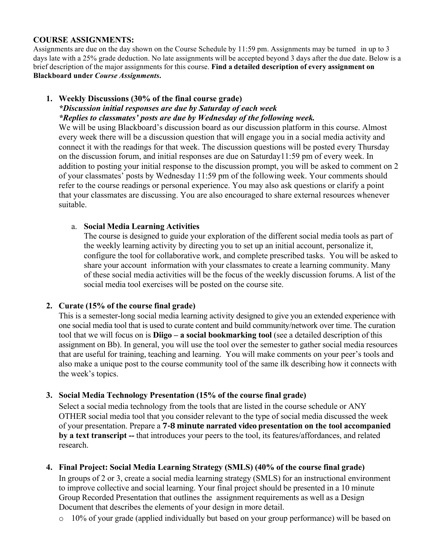### **COURSE ASSIGNMENTS:**

Assignments are due on the day shown on the Course Schedule by 11:59 pm. Assignments may be turned in up to 3 days late with a 25% grade deduction. No late assignments will be accepted beyond 3 days after the due date. Below is a brief description of the major assignments for this course. **Find a detailed description of every assignment on Blackboard under** *Course Assignments***.**

## **1. Weekly Discussions (30% of the final course grade)**

*\*Discussion initial responses are due by Saturday of each week \*Replies to classmates' posts are due by Wednesday of the following week.* 

We will be using Blackboard's discussion board as our discussion platform in this course. Almost every week there will be a discussion question that will engage you in a social media activity and connect it with the readings for that week. The discussion questions will be posted every Thursday on the discussion forum, and initial responses are due on Saturday11:59 pm of every week. In addition to posting your initial response to the discussion prompt, you will be asked to comment on 2 of your classmates' posts by Wednesday 11:59 pm of the following week. Your comments should refer to the course readings or personal experience. You may also ask questions or clarify a point that your classmates are discussing. You are also encouraged to share external resources whenever suitable.

## a. **Social Media Learning Activities**

The course is designed to guide your exploration of the different social media tools as part of the weekly learning activity by directing you to set up an initial account, personalize it, configure the tool for collaborative work, and complete prescribed tasks. You will be asked to share your account information with your classmates to create a learning community. Many of these social media activities will be the focus of the weekly discussion forums. A list of the social media tool exercises will be posted on the course site.

## **2. Curate (15% of the course final grade)**

This is a semester-long social media learning activity designed to give you an extended experience with one social media tool that is used to curate content and build community/network over time. The curation tool that we will focus on is **Diigo – a social bookmarking tool** (see a detailed description of this assignment on Bb). In general, you will use the tool over the semester to gather social media resources that are useful for training, teaching and learning. You will make comments on your peer's tools and also make a unique post to the course community tool of the same ilk describing how it connects with the week's topics.

## **3. Social Media Technology Presentation (15% of the course final grade)**

Select a social media technology from the tools that are listed in the course schedule or ANY OTHER social media tool that you consider relevant to the type of social media discussed the week of your presentation. Prepare a **7-8 minute narrated video presentation on the tool accompanied by a text transcript --** that introduces your peers to the tool, its features/affordances, and related research.

## **4. Final Project: Social Media Learning Strategy (SMLS) (40% of the course final grade)**

In groups of 2 or 3, create a social media learning strategy (SMLS) for an instructional environment to improve collective and social learning. Your final project should be presented in a 10 minute Group Recorded Presentation that outlines the assignment requirements as well as a Design Document that describes the elements of your design in more detail.

o 10% of your grade (applied individually but based on your group performance) will be based on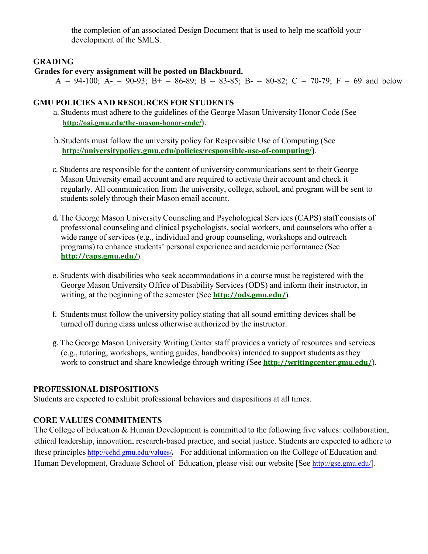the completion of an associated Design Document that is used to help me scaffold your development of the SMLS.

## **GRADING**

### **Grades for every assignment will be posted on Blackboard.**

A = 94-100; A- = 90-93; B+ = 86-89; B = 83-85; B- = 80-82; C = 70-79; F = 69 and below

## **GMU POLICIES AND RESOURCES FOR STUDENTS**

- a. Students must adhere to the guidelines of the George Mason University Honor Code (See **http://oai.gmu.edu/the-mason-honor-code/**).
- b.Students must follow the university policy for Responsible Use of Computing (See **http://universitypolicy.gmu.edu/policies/responsible-use-of-computing/**).
- c. Students are responsible for the content of university communications sent to their George Mason University email account and are required to activate their account and check it regularly. All communication from the university, college, school, and program will be sent to students solely through their Mason email account.
- d. The George Mason University Counseling and Psychological Services (CAPS) staff consists of professional counseling and clinical psychologists, social workers, and counselors who offer a wide range of services (e.g., individual and group counseling, workshops and outreach programs) to enhance students' personal experience and academic performance (See **http://caps.gmu.edu/**).
- e. Students with disabilities who seek accommodations in a course must be registered with the George Mason University Office of Disability Services (ODS) and inform their instructor, in writing, at the beginning of the semester (See **http://ods.gmu.edu/**).
- f. Students must follow the university policy stating that all sound emitting devices shall be turned off during class unless otherwise authorized by the instructor.
- g. The George Mason University Writing Center staff provides a variety of resources and services (e.g., tutoring, workshops, writing guides, handbooks) intended to support students as they work to construct and share knowledge through writing (See **http://writingcenter.gmu.edu/**).

## **PROFESSIONAL DISPOSITIONS**

Students are expected to exhibit professional behaviors and dispositions at all times.

## **CORE VALUES COMMITMENTS**

The College of Education & Human Development is committed to the following five values: collaboration, ethical leadership, innovation, research-based practice, and social justice. Students are expected to adhere to these principles http://cehd.gmu.edu/values/*.* For additional information on the College of Education and Human Development, Graduate School of Education, please visit our website [See http://gse.gmu.edu/].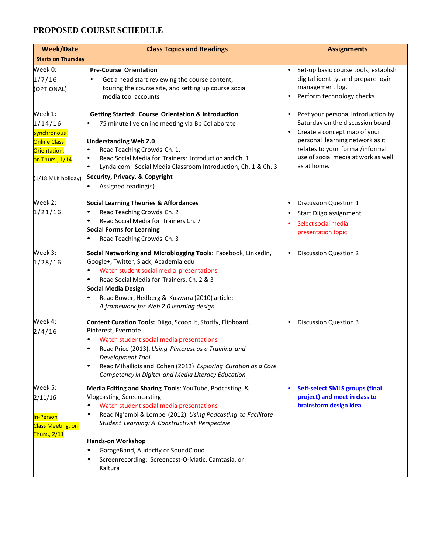# **PROPOSED COURSE SCHEDULE**

| <b>Week/Date</b>                                                                                                         | <b>Class Topics and Readings</b>                                                                                                                                                                                                                                                                                                                                                                                            | <b>Assignments</b>                                                                                                                                                                                                                  |
|--------------------------------------------------------------------------------------------------------------------------|-----------------------------------------------------------------------------------------------------------------------------------------------------------------------------------------------------------------------------------------------------------------------------------------------------------------------------------------------------------------------------------------------------------------------------|-------------------------------------------------------------------------------------------------------------------------------------------------------------------------------------------------------------------------------------|
| <b>Starts on Thursday</b>                                                                                                |                                                                                                                                                                                                                                                                                                                                                                                                                             |                                                                                                                                                                                                                                     |
| Week 0:<br>1/7/16<br>(OPTIONAL)                                                                                          | <b>Pre-Course Orientation</b><br>Get a head start reviewing the course content,<br>touring the course site, and setting up course social<br>media tool accounts                                                                                                                                                                                                                                                             | Set-up basic course tools, establish<br>digital identity, and prepare login<br>management log.<br>Perform technology checks.                                                                                                        |
| Week 1:<br>1/14/16<br><b>Synchronous</b><br><b>Online Class</b><br>Orientation,<br>on Thurs., 1/14<br>(1/18 MLK holiday) | <b>Getting Started: Course Orientation &amp; Introduction</b><br>75 minute live online meeting via Bb Collaborate<br><b>Understanding Web 2.0</b><br>Read Teaching Crowds Ch. 1.<br>Read Social Media for Trainers: Introduction and Ch. 1.<br>Lynda.com: Social Media Classroom Introduction, Ch. 1 & Ch. 3<br>Security, Privacy, & Copyright<br>Assigned reading(s)                                                       | Post your personal introduction by<br>Saturday on the discussion board.<br>Create a concept map of your<br>personal learning network as it<br>relates to your formal/informal<br>use of social media at work as well<br>as at home. |
| Week 2:<br>1/21/16                                                                                                       | <b>Social Learning Theories &amp; Affordances</b><br>Read Teaching Crowds Ch. 2<br>Read Social Media for Trainers Ch. 7<br><b>Social Forms for Learning</b><br>Read Teaching Crowds Ch. 3                                                                                                                                                                                                                                   | <b>Discussion Question 1</b><br>$\bullet$<br>Start Diigo assignment<br>Select social media<br>presentation topic                                                                                                                    |
| Week 3:<br>1/28/16                                                                                                       | Social Networking and Microblogging Tools: Facebook, LinkedIn,<br>Google+, Twitter, Slack, Academia.edu<br>Watch student social media presentations<br>Read Social Media for Trainers, Ch. 2 & 3<br>Social Media Design<br>Read Bower, Hedberg & Kuswara (2010) article:<br>A framework for Web 2.0 learning design                                                                                                         | <b>Discussion Question 2</b><br>$\bullet$                                                                                                                                                                                           |
| Week 4:<br>2/4/16                                                                                                        | Content Curation Tools: Diigo, Scoop.it, Storify, Flipboard,<br>Pinterest, Evernote<br>Watch student social media presentations<br>Read Price (2013), Using Pinterest as a Training and<br>Development Tool<br>Read Mihailidis and Cohen (2013) Exploring Curation as a Core<br>Competency in Digital and Media Literacy Education                                                                                          | <b>Discussion Question 3</b>                                                                                                                                                                                                        |
| Week 5:<br>2/11/16<br>In-Person<br><b>Class Meeting, on</b><br>Thurs., 2/11                                              | Media Editing and Sharing Tools: YouTube, Podcasting, &<br>Vlogcasting, Screencasting<br>Watch student social media presentations<br>$\bullet$<br>Read Ng'ambi & Lombe (2012). Using Podcasting to Facilitate<br>Student Learning: A Constructivist Perspective<br><b>Hands-on Workshop</b><br>GarageBand, Audacity or SoundCloud<br>$\bullet$<br>Screenrecording: Screencast-O-Matic, Camtasia, or<br>$\bullet$<br>Kaltura | <b>Self-select SMLS groups (final</b><br>$\bullet$<br>project) and meet in class to<br>brainstorm design idea                                                                                                                       |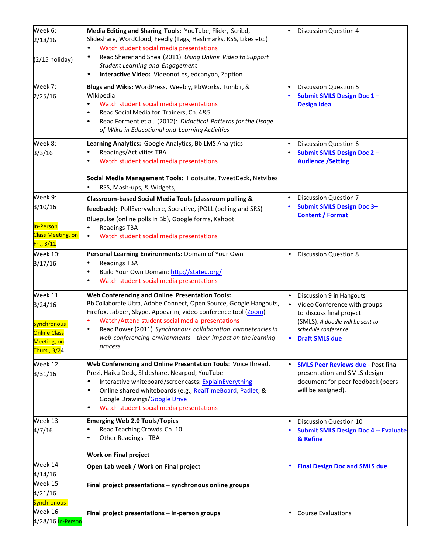| Week 6:                  | Media Editing and Sharing Tools: YouTube, Flickr, Scribd,               | <b>Discussion Question 4</b>                           |
|--------------------------|-------------------------------------------------------------------------|--------------------------------------------------------|
| 2/18/16                  | Slideshare, WordCloud, Feedly (Tags, Hashmarks, RSS, Likes etc.)        |                                                        |
|                          | Watch student social media presentations                                |                                                        |
|                          | Read Sherer and Shea (2011). Using Online Video to Support<br>$\bullet$ |                                                        |
| $(2/15$ holiday)         | <b>Student Learning and Engagement</b>                                  |                                                        |
|                          | Interactive Video: Videonot.es, edcanyon, Zaption<br>$\bullet$          |                                                        |
| Week 7:                  | Blogs and Wikis: WordPress, Weebly, PbWorks, Tumblr, &                  | <b>Discussion Question 5</b>                           |
| 2/25/16                  | Wikipedia                                                               | Submit SMLS Design Doc 1-                              |
|                          | Watch student social media presentations                                | <b>Design Idea</b>                                     |
|                          | Read Social Media for Trainers, Ch. 4&5                                 |                                                        |
|                          | Read Forment et al. (2012): Didactical Patterns for the Usage           |                                                        |
|                          | of Wikis in Educational and Learning Activities                         |                                                        |
| Week 8:                  | Learning Analytics: Google Analytics, Bb LMS Analytics                  | Discussion Question 6                                  |
| 3/3/16                   | Readings/Activities TBA                                                 | <b>Submit SMLS Design Doc 2-</b>                       |
|                          | Watch student social media presentations                                | <b>Audience / Setting</b>                              |
|                          | Social Media Management Tools: Hootsuite, TweetDeck, Netvibes           |                                                        |
|                          | RSS, Mash-ups, & Widgets,                                               |                                                        |
| Week 9:                  | Classroom-based Social Media Tools (classroom polling &                 | <b>Discussion Question 7</b>                           |
| 3/10/16                  | feedback): PollEverywhere, Socrative, jPOLL (polling and SRS)           | <b>Submit SMLS Design Doc 3-</b>                       |
|                          | Bluepulse (online polls in Bb), Google forms, Kahoot                    | <b>Content / Format</b>                                |
| In-Person                | <b>Readings TBA</b>                                                     |                                                        |
| <b>Class Meeting, on</b> | Watch student social media presentations                                |                                                        |
| Fri., 3/11               |                                                                         |                                                        |
| <b>Week 10:</b>          | Personal Learning Environments: Domain of Your Own                      | <b>Discussion Question 8</b><br>$\bullet$              |
| 3/17/16                  | <b>Readings TBA</b>                                                     |                                                        |
|                          | Build Your Own Domain: http://stateu.org/                               |                                                        |
|                          | Watch student social media presentations                                |                                                        |
| Week 11                  | <b>Web Conferencing and Online Presentation Tools:</b>                  | Discussion 9 in Hangouts                               |
| 3/24/16                  | Bb Collaborate Ultra, Adobe Connect, Open Source, Google Hangouts,      | Video Conference with groups                           |
|                          | Firefox, Jabber, Skype, Appear.in, video conference tool (Zoom)         | to discuss final project                               |
| <b>Synchronous</b>       | Watch/Attend student social media presentations                         | (SMLS). A doodle will be sent to                       |
| <b>Online Class</b>      | Read Bower (2011) Synchronous collaboration competencies in             | schedule conference.                                   |
| Meeting, on              | web-conferencing environments - their impact on the learning            | <b>Draft SMLS due</b>                                  |
| Thurs., 3/24             | process                                                                 |                                                        |
| Week 12                  | Web Conferencing and Online Presentation Tools: VoiceThread,            | <b>SMLS Peer Reviews due - Post final</b><br>$\bullet$ |
| 3/31/16                  | Prezi, Haiku Deck, Slideshare, Nearpod, YouTube                         | presentation and SMLS design                           |
|                          | Interactive whiteboard/screencasts: ExplainEverything                   | document for peer feedback (peers                      |
|                          | Online shared whiteboards (e.g., RealTimeBoard, Padlet, &<br>$\bullet$  | will be assigned).                                     |
|                          | Google Drawings/Google Drive                                            |                                                        |
|                          | Watch student social media presentations<br>$\bullet$                   |                                                        |
| Week 13                  | <b>Emerging Web 2.0 Tools/Topics</b>                                    | <b>Discussion Question 10</b><br>$\bullet$             |
| 4/7/16                   | Read Teaching Crowds Ch. 10                                             | <b>Submit SMLS Design Doc 4 -- Evaluate</b>            |
|                          | <b>Other Readings - TBA</b>                                             | & Refine                                               |
|                          | <b>Work on Final project</b>                                            |                                                        |
| Week 14                  | Open Lab week / Work on Final project                                   | <b>Final Design Doc and SMLS due</b><br>$\bullet$      |
| 4/14/16                  |                                                                         |                                                        |
| Week 15                  | Final project presentations - synchronous online groups                 |                                                        |
| 4/21/16                  |                                                                         |                                                        |
| <b>Synchronous</b>       |                                                                         |                                                        |
| Week 16                  | Final project presentations - in-person groups                          | <b>Course Evaluations</b><br>$\bullet$                 |
| 4/28/16 In-Person        |                                                                         |                                                        |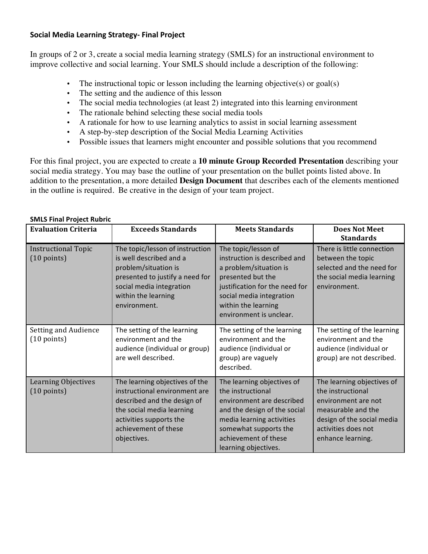### **Social Media Learning Strategy- Final Project**

In groups of 2 or 3, create a social media learning strategy (SMLS) for an instructional environment to improve collective and social learning. Your SMLS should include a description of the following:

- The instructional topic or lesson including the learning objective(s) or goal(s)
- The setting and the audience of this lesson
- The social media technologies (at least 2) integrated into this learning environment
- The rationale behind selecting these social media tools
- A rationale for how to use learning analytics to assist in social learning assessment
- A step-by-step description of the Social Media Learning Activities
- Possible issues that learners might encounter and possible solutions that you recommend

For this final project, you are expected to create a **10 minute Group Recorded Presentation** describing your social media strategy. You may base the outline of your presentation on the bullet points listed above. In addition to the presentation, a more detailed **Design Document** that describes each of the elements mentioned in the outline is required. Be creative in the design of your team project.

| <b>Evaluation Criteria</b>                          | <b>Exceeds Standards</b>                                                                                                                                                                      | <b>Meets Standards</b>                                                                                                                                                                                             | <b>Does Not Meet</b><br><b>Standards</b>                                                                                                                               |
|-----------------------------------------------------|-----------------------------------------------------------------------------------------------------------------------------------------------------------------------------------------------|--------------------------------------------------------------------------------------------------------------------------------------------------------------------------------------------------------------------|------------------------------------------------------------------------------------------------------------------------------------------------------------------------|
| <b>Instructional Topic</b><br>$(10 \text{ points})$ | The topic/lesson of instruction<br>is well described and a<br>problem/situation is<br>presented to justify a need for<br>social media integration<br>within the learning<br>environment.      | The topic/lesson of<br>instruction is described and<br>a problem/situation is<br>presented but the<br>justification for the need for<br>social media integration<br>within the learning<br>environment is unclear. | There is little connection<br>between the topic<br>selected and the need for<br>the social media learning<br>environment.                                              |
| Setting and Audience<br>$(10 \text{ points})$       | The setting of the learning<br>environment and the<br>audience (individual or group)<br>are well described.                                                                                   | The setting of the learning<br>environment and the<br>audience (individual or<br>group) are vaguely<br>described.                                                                                                  | The setting of the learning<br>environment and the<br>audience (individual or<br>group) are not described.                                                             |
| Learning Objectives<br>$(10 \text{ points})$        | The learning objectives of the<br>instructional environment are<br>described and the design of<br>the social media learning<br>activities supports the<br>achievement of these<br>objectives. | The learning objectives of<br>the instructional<br>environment are described<br>and the design of the social<br>media learning activities<br>somewhat supports the<br>achievement of these<br>learning objectives. | The learning objectives of<br>the instructional<br>environment are not<br>measurable and the<br>design of the social media<br>activities does not<br>enhance learning. |

#### **SMLS Final Project Rubric**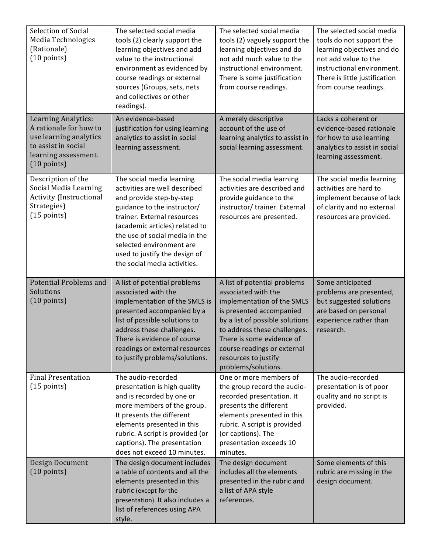| Selection of Social<br>Media Technologies<br>(Rationale)<br>$(10 \text{ points})$                                                               | The selected social media<br>tools (2) clearly support the<br>learning objectives and add<br>value to the instructional<br>environment as evidenced by<br>course readings or external<br>sources (Groups, sets, nets<br>and collectives or other<br>readings).                                                        | The selected social media<br>tools (2) vaguely support the<br>learning objectives and do<br>not add much value to the<br>instructional environment.<br>There is some justification<br>from course readings.                                                                                 | The selected social media<br>tools do not support the<br>learning objectives and do<br>not add value to the<br>instructional environment.<br>There is little justification<br>from course readings. |
|-------------------------------------------------------------------------------------------------------------------------------------------------|-----------------------------------------------------------------------------------------------------------------------------------------------------------------------------------------------------------------------------------------------------------------------------------------------------------------------|---------------------------------------------------------------------------------------------------------------------------------------------------------------------------------------------------------------------------------------------------------------------------------------------|-----------------------------------------------------------------------------------------------------------------------------------------------------------------------------------------------------|
| Learning Analytics:<br>A rationale for how to<br>use learning analytics<br>to assist in social<br>learning assessment.<br>$(10 \text{ points})$ | An evidence-based<br>justification for using learning<br>analytics to assist in social<br>learning assessment.                                                                                                                                                                                                        | A merely descriptive<br>account of the use of<br>learning analytics to assist in<br>social learning assessment.                                                                                                                                                                             | Lacks a coherent or<br>evidence-based rationale<br>for how to use learning<br>analytics to assist in social<br>learning assessment.                                                                 |
| Description of the<br>Social Media Learning<br><b>Activity (Instructional</b><br>Strategies)<br>$(15$ points)                                   | The social media learning<br>activities are well described<br>and provide step-by-step<br>guidance to the instructor/<br>trainer. External resources<br>(academic articles) related to<br>the use of social media in the<br>selected environment are<br>used to justify the design of<br>the social media activities. | The social media learning<br>activities are described and<br>provide guidance to the<br>instructor/trainer. External<br>resources are presented.                                                                                                                                            | The social media learning<br>activities are hard to<br>implement because of lack<br>of clarity and no external<br>resources are provided.                                                           |
| <b>Potential Problems and</b><br>Solutions<br>$(10 \text{ points})$                                                                             | A list of potential problems<br>associated with the<br>implementation of the SMLS is<br>presented accompanied by a<br>list of possible solutions to<br>address these challenges.<br>There is evidence of course<br>readings or external resources<br>to justify problems/solutions.                                   | A list of potential problems<br>associated with the<br>implementation of the SMLS<br>is presented accompanied<br>by a list of possible solutions<br>to address these challenges.<br>There is some evidence of<br>course readings or external<br>resources to justify<br>problems/solutions. | Some anticipated<br>problems are presented,<br>but suggested solutions<br>are based on personal<br>experience rather than<br>research.                                                              |
| <b>Final Presentation</b><br>$(15$ points)                                                                                                      | The audio-recorded<br>presentation is high quality<br>and is recorded by one or<br>more members of the group.<br>It presents the different<br>elements presented in this<br>rubric. A script is provided (or<br>captions). The presentation<br>does not exceed 10 minutes.                                            | One or more members of<br>the group record the audio-<br>recorded presentation. It<br>presents the different<br>elements presented in this<br>rubric. A script is provided<br>(or captions). The<br>presentation exceeds 10<br>minutes.                                                     | The audio-recorded<br>presentation is of poor<br>quality and no script is<br>provided.                                                                                                              |
| Design Document<br>$(10 \text{ points})$                                                                                                        | The design document includes<br>a table of contents and all the<br>elements presented in this<br>rubric (except for the<br>presentation). It also includes a<br>list of references using APA                                                                                                                          | The design document<br>includes all the elements<br>presented in the rubric and<br>a list of APA style<br>references.                                                                                                                                                                       | Some elements of this<br>rubric are missing in the<br>design document.                                                                                                                              |